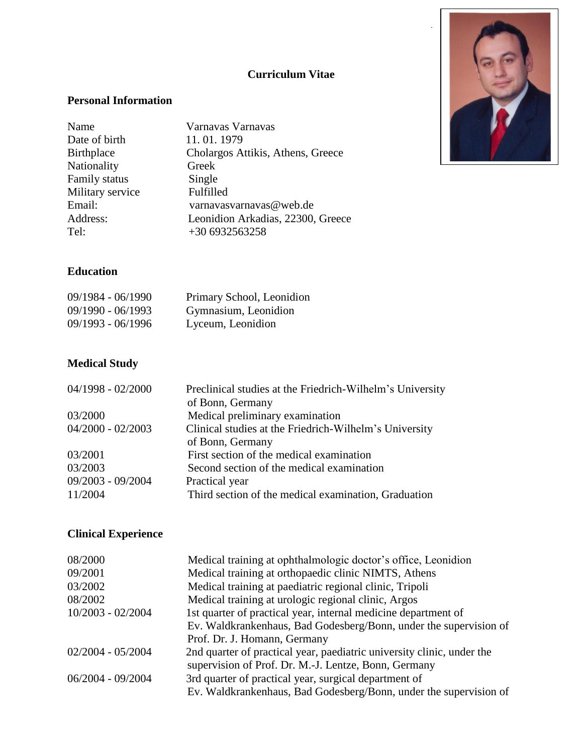## **Curriculum Vitae**

#### **Personal Information**

| Name             | Varnavas Varnavas                 |
|------------------|-----------------------------------|
| Date of birth    | 11.01.1979                        |
| Birthplace       | Cholargos Attikis, Athens, Greece |
| Nationality      | Greek                             |
| Family status    | Single                            |
| Military service | Fulfilled                         |
| Email:           | varnavasvarnavas@web.de           |
| Address:         | Leonidion Arkadias, 22300, Greece |
| Tel:             | +30 6932563258                    |



#### **Education**

| $09/1984 - 06/1990$ | Primary School, Leonidion |
|---------------------|---------------------------|
| $09/1990 - 06/1993$ | Gymnasium, Leonidion      |
| $09/1993 - 06/1996$ | Lyceum, Leonidion         |

# **Medical Study**

| Preclinical studies at the Friedrich-Wilhelm's University |
|-----------------------------------------------------------|
| of Bonn, Germany                                          |
| Medical preliminary examination                           |
| Clinical studies at the Friedrich-Wilhelm's University    |
| of Bonn, Germany                                          |
| First section of the medical examination                  |
| Second section of the medical examination                 |
| Practical year                                            |
| Third section of the medical examination, Graduation      |
|                                                           |

# **Clinical Experience**

| 08/2000             | Medical training at ophthalmologic doctor's office, Leonidion          |
|---------------------|------------------------------------------------------------------------|
| 09/2001             | Medical training at orthopaedic clinic NIMTS, Athens                   |
| 03/2002             | Medical training at paediatric regional clinic, Tripoli                |
| 08/2002             | Medical training at urologic regional clinic, Argos                    |
| 10/2003 - 02/2004   | 1st quarter of practical year, internal medicine department of         |
|                     | Ev. Waldkrankenhaus, Bad Godesberg/Bonn, under the supervision of      |
|                     | Prof. Dr. J. Homann, Germany                                           |
| $02/2004 - 05/2004$ | 2nd quarter of practical year, paediatric university clinic, under the |
|                     | supervision of Prof. Dr. M.-J. Lentze, Bonn, Germany                   |
| $06/2004 - 09/2004$ | 3rd quarter of practical year, surgical department of                  |
|                     | Ev. Waldkrankenhaus, Bad Godesberg/Bonn, under the supervision of      |